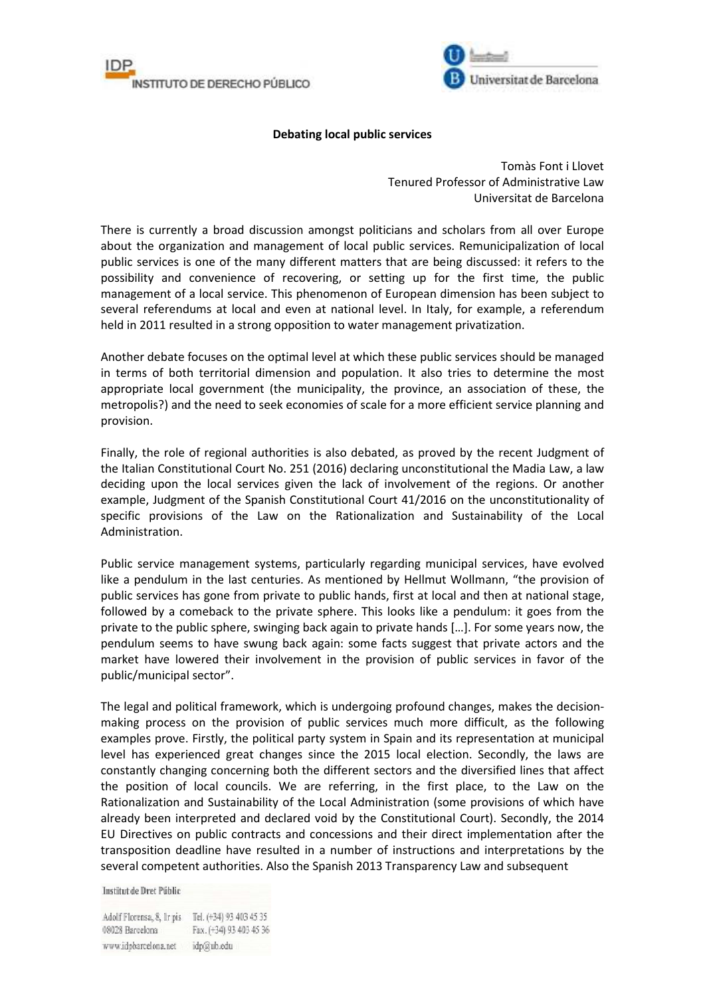



## **Debating local public services**

Tomàs Font i Llovet Tenured Professor of Administrative Law Universitat de Barcelona

There is currently a broad discussion amongst politicians and scholars from all over Europe about the organization and management of local public services. Remunicipalization of local public services is one of the many different matters that are being discussed: it refers to the possibility and convenience of recovering, or setting up for the first time, the public management of a local service. This phenomenon of European dimension has been subject to several referendums at local and even at national level. In Italy, for example, a referendum held in 2011 resulted in a strong opposition to water management privatization.

Another debate focuses on the optimal level at which these public services should be managed in terms of both territorial dimension and population. It also tries to determine the most appropriate local government (the municipality, the province, an association of these, the metropolis?) and the need to seek economies of scale for a more efficient service planning and provision.

Finally, the role of regional authorities is also debated, as proved by the recent Judgment of the Italian Constitutional Court No. 251 (2016) declaring unconstitutional the Madia Law, a law deciding upon the local services given the lack of involvement of the regions. Or another example, Judgment of the Spanish Constitutional Court 41/2016 on the unconstitutionality of specific provisions of the Law on the Rationalization and Sustainability of the Local Administration.

Public service management systems, particularly regarding municipal services, have evolved like a pendulum in the last centuries. As mentioned by Hellmut Wollmann, "the provision of public services has gone from private to public hands, first at local and then at national stage, followed by a comeback to the private sphere. This looks like a pendulum: it goes from the private to the public sphere, swinging back again to private hands […]. For some years now, the pendulum seems to have swung back again: some facts suggest that private actors and the market have lowered their involvement in the provision of public services in favor of the public/municipal sector".

The legal and political framework, which is undergoing profound changes, makes the decisionmaking process on the provision of public services much more difficult, as the following examples prove. Firstly, the political party system in Spain and its representation at municipal level has experienced great changes since the 2015 local election. Secondly, the laws are constantly changing concerning both the different sectors and the diversified lines that affect the position of local councils. We are referring, in the first place, to the Law on the Rationalization and Sustainability of the Local Administration (some provisions of which have already been interpreted and declared void by the Constitutional Court). Secondly, the 2014 EU Directives on public contracts and concessions and their direct implementation after the transposition deadline have resulted in a number of instructions and interpretations by the several competent authorities. Also the Spanish 2013 Transparency Law and subsequent

Institut de Dret Públic

Adolf Florensa, 8, Ir pis Tel. (+34) 93 403 45 35 08028 Barcelona Fax. (+34) 93 403 45 36 www.idpbarcelona.net idp@ub.edu